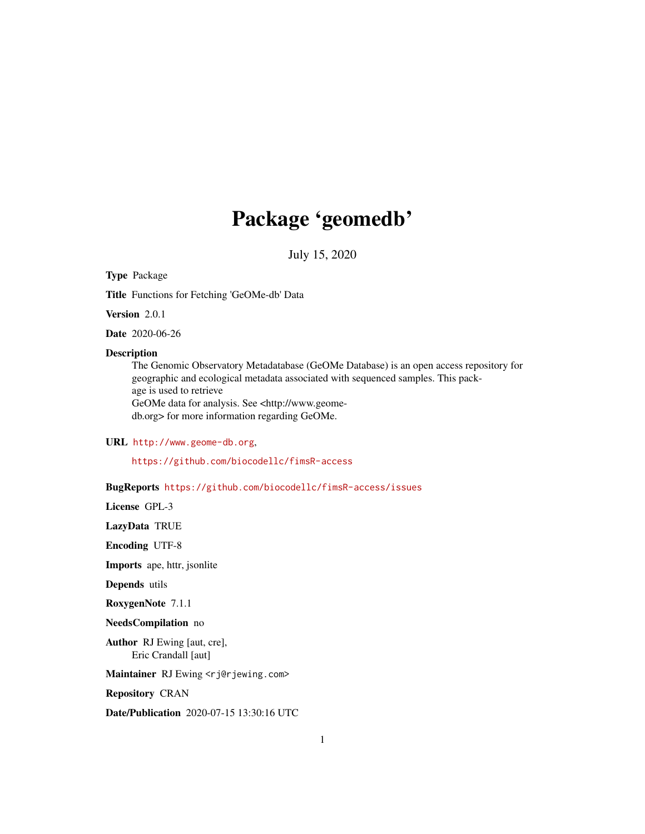## Package 'geomedb'

July 15, 2020

## Type Package

Title Functions for Fetching 'GeOMe-db' Data

Version 2.0.1

Date 2020-06-26

## Description

The Genomic Observatory Metadatabase (GeOMe Database) is an open access repository for geographic and ecological metadata associated with sequenced samples. This package is used to retrieve GeOMe data for analysis. See <http://www.geomedb.org> for more information regarding GeOMe.

URL <http://www.geome-db.org>,

<https://github.com/biocodellc/fimsR-access>

BugReports <https://github.com/biocodellc/fimsR-access/issues>

License GPL-3

LazyData TRUE

Encoding UTF-8

Imports ape, httr, jsonlite

Depends utils

RoxygenNote 7.1.1

NeedsCompilation no

Author RJ Ewing [aut, cre], Eric Crandall [aut]

Maintainer RJ Ewing <rj@rjewing.com>

Repository CRAN

Date/Publication 2020-07-15 13:30:16 UTC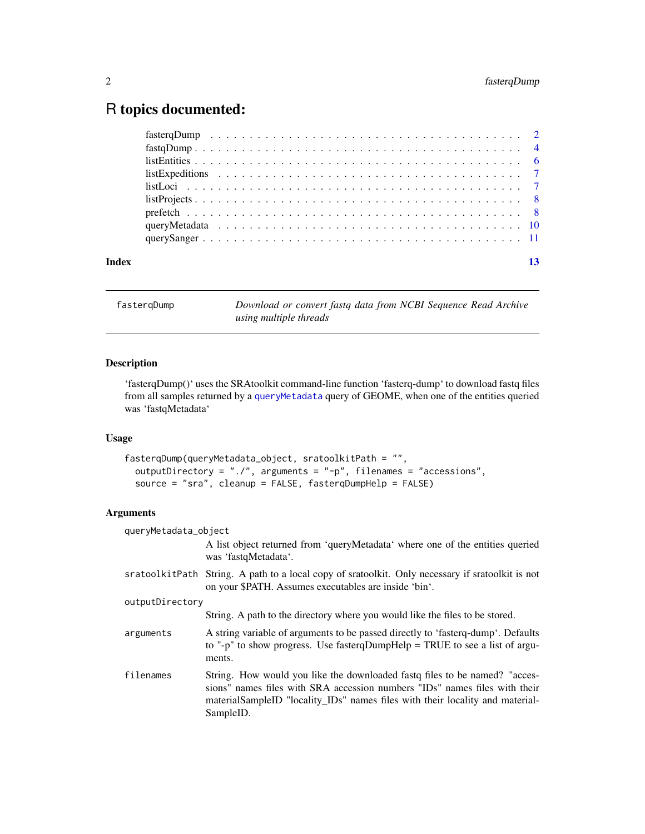## <span id="page-1-0"></span>R topics documented:

| Index |  |  |  |  |  |  |  |  |  |  |  |  |  |  |  |  |  | 13 |
|-------|--|--|--|--|--|--|--|--|--|--|--|--|--|--|--|--|--|----|

<span id="page-1-1"></span>fasterqDump *Download or convert fastq data from NCBI Sequence Read Archive using multiple threads*

## Description

'fasterqDump()' uses the SRAtoolkit command-line function 'fasterq-dump' to download fastq files from all samples returned by a [queryMetadata](#page-9-1) query of GEOME, when one of the entities queried was 'fastqMetadata'

## Usage

```
fasterqDump(queryMetadata_object, sratoolkitPath = "",
 outputDirectory = "./", arguments = "-p", filenames = "accessions",
  source = "sra", cleanup = FALSE, fasterqDumpHelp = FALSE)
```
## Arguments

| queryMetadata_object |                                                                                                                                                                                                                                                          |
|----------------------|----------------------------------------------------------------------------------------------------------------------------------------------------------------------------------------------------------------------------------------------------------|
|                      | A list object returned from 'queryMetadata' where one of the entities queried<br>was 'fastqMetadata'.                                                                                                                                                    |
|                      | sratoolkitPath String. A path to a local copy of sratoolkit. Only necessary if sratoolkit is not<br>on your \$PATH. Assumes executables are inside 'bin'.                                                                                                |
| outputDirectory      |                                                                                                                                                                                                                                                          |
|                      | String. A path to the directory where you would like the files to be stored.                                                                                                                                                                             |
| arguments            | A string variable of arguments to be passed directly to 'fasterq-dump'. Defaults<br>to "-p" to show progress. Use faster qDumpHelp = TRUE to see a list of argu-<br>ments.                                                                               |
| filenames            | String. How would you like the downloaded fast of files to be named? "acces-<br>sions" names files with SRA accession numbers "IDs" names files with their<br>materialSampleID "locality_IDs" names files with their locality and material-<br>SampleID. |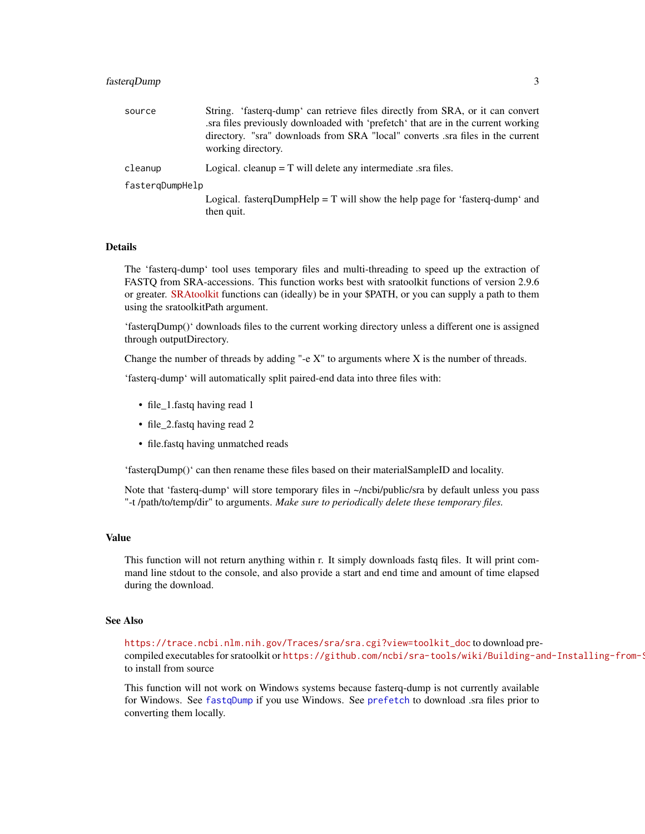## <span id="page-2-0"></span>fasterqDump 3

| source          | String. 'fasterq-dump' can retrieve files directly from SRA, or it can convert<br>sra files previously downloaded with 'prefetch' that are in the current working.<br>directory. "sra" downloads from SRA "local" converts sra files in the current<br>working directory. |
|-----------------|---------------------------------------------------------------------------------------------------------------------------------------------------------------------------------------------------------------------------------------------------------------------------|
| cleanup         | Logical. cleanup $= T$ will delete any intermediate sra files.                                                                                                                                                                                                            |
| fastergDumpHelp |                                                                                                                                                                                                                                                                           |
|                 | Logical. fastergDumpHelp = $T$ will show the help page for 'fasterg-dump' and<br>then quit.                                                                                                                                                                               |

## Details

The 'fasterq-dump' tool uses temporary files and multi-threading to speed up the extraction of FASTQ from SRA-accessions. This function works best with sratoolkit functions of version 2.9.6 or greater. [SRAtoolkit](https://trace.ncbi.nlm.nih.gov/Traces/sra/sra.cgi?view=toolkit_doc) functions can (ideally) be in your \$PATH, or you can supply a path to them using the sratoolkitPath argument.

'fasterqDump()' downloads files to the current working directory unless a different one is assigned through outputDirectory.

Change the number of threads by adding "-e  $X$ " to arguments where  $X$  is the number of threads.

'fasterq-dump' will automatically split paired-end data into three files with:

- file\_1.fastq having read 1
- file\_2.fastq having read 2
- file.fastq having unmatched reads

'fasterqDump()' can then rename these files based on their materialSampleID and locality.

Note that 'fasterq-dump' will store temporary files in ~/ncbi/public/sra by default unless you pass "-t /path/to/temp/dir" to arguments. *Make sure to periodically delete these temporary files.*

## Value

This function will not return anything within r. It simply downloads fastq files. It will print command line stdout to the console, and also provide a start and end time and amount of time elapsed during the download.

## See Also

[https://trace.ncbi.nlm.nih.gov/Traces/sra/sra.cgi?view=toolkit\\_doc](https://trace.ncbi.nlm.nih.gov/Traces/sra/sra.cgi?view=toolkit_doc) to download precompiled executables for sratoolkit or https://github.com/ncbi/sra-tools/wiki/Building-and-Installing-from-S to install from source

This function will not work on Windows systems because fasterq-dump is not currently available for Windows. See [fastqDump](#page-3-1) if you use Windows. See [prefetch](#page-7-1) to download .sra files prior to converting them locally.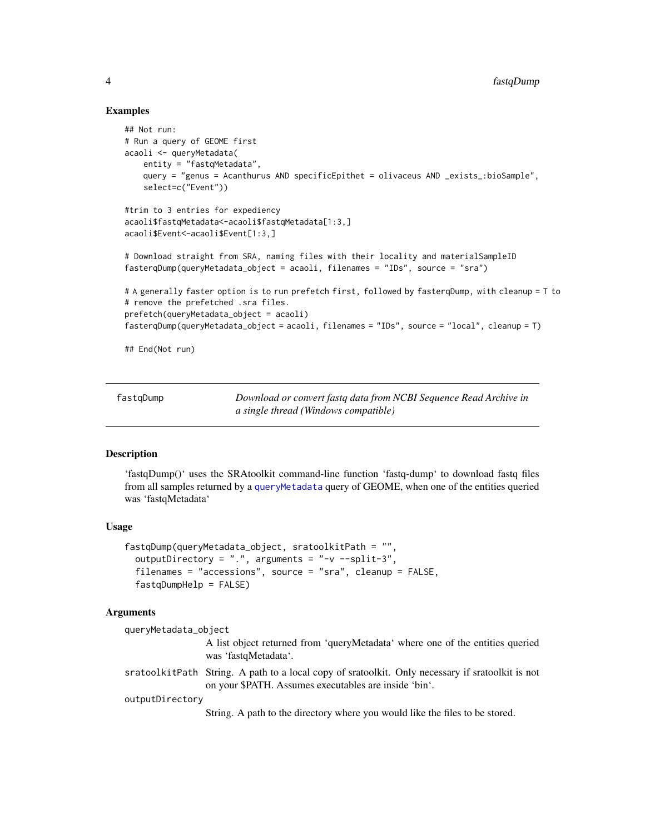## Examples

```
## Not run:
# Run a query of GEOME first
acaoli <- queryMetadata(
   entity = "fastqMetadata",
   query = "genus = Acanthurus AND specificEpithet = olivaceus AND _exists_:bioSample",
    select=c("Event"))
#trim to 3 entries for expediency
acaoli$fastqMetadata<-acaoli$fastqMetadata[1:3,]
acaoli$Event<-acaoli$Event[1:3,]
# Download straight from SRA, naming files with their locality and materialSampleID
fasterqDump(queryMetadata_object = acaoli, filenames = "IDs", source = "sra")
# A generally faster option is to run prefetch first, followed by fasterqDump, with cleanup = T to
# remove the prefetched .sra files.
prefetch(queryMetadata_object = acaoli)
fasterqDump(queryMetadata_object = acaoli, filenames = "IDs", source = "local", cleanup = T)
```
## End(Not run)

<span id="page-3-1"></span>fastqDump *Download or convert fastq data from NCBI Sequence Read Archive in a single thread (Windows compatible)*

## **Description**

'fastqDump()' uses the SRAtoolkit command-line function 'fastq-dump' to download fastq files from all samples returned by a [queryMetadata](#page-9-1) query of GEOME, when one of the entities queried was 'fastqMetadata'

#### Usage

```
fastqDump(queryMetadata_object, sratoolkitPath = "",
 outputDirectory = ".". arguments = "-v --split-3",
  filenames = "accessions", source = "sra", cleanup = FALSE,
  fastqDumpHelp = FALSE)
```
## Arguments

```
queryMetadata_object
                  A list object returned from 'queryMetadata' where one of the entities queried
                  was 'fastqMetadata'.
sratoolkitPath String. A path to a local copy of sratoolkit. Only necessary if sratoolkit is not
                  on your $PATH. Assumes executables are inside 'bin'.
outputDirectory
                  String. A path to the directory where you would like the files to be stored.
```
<span id="page-3-0"></span>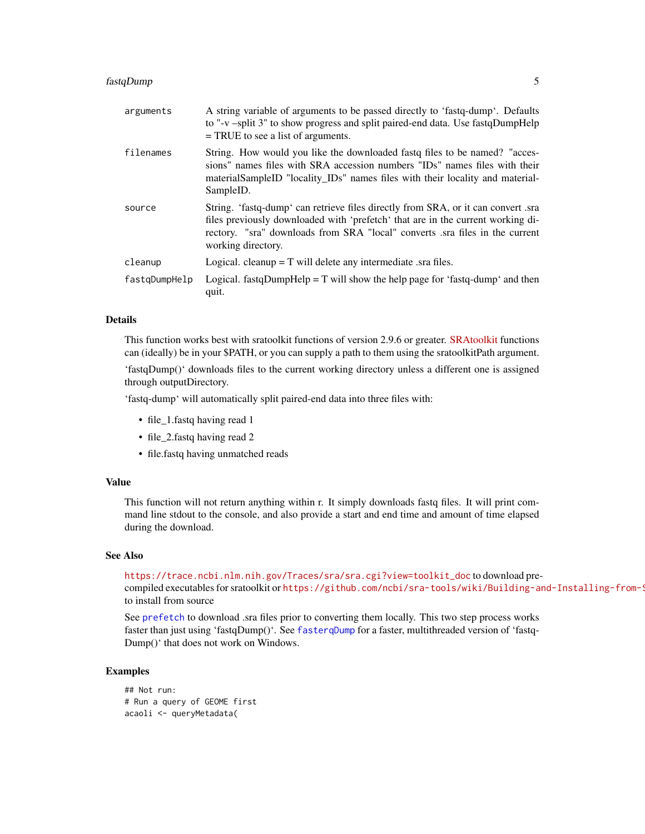## <span id="page-4-0"></span>fastqDump 5

| arguments     | A string variable of arguments to be passed directly to 'fastq-dump'. Defaults<br>to "-v -split 3" to show progress and split paired-end data. Use fastqDumpHelp<br>$=$ TRUE to see a list of arguments.                                                                 |
|---------------|--------------------------------------------------------------------------------------------------------------------------------------------------------------------------------------------------------------------------------------------------------------------------|
| filenames     | String. How would you like the downloaded fast of hes to be named? "acces-<br>sions" names files with SRA accession numbers "IDs" names files with their<br>materialSampleID "locality_IDs" names files with their locality and material-<br>SampleID.                   |
| source        | String. 'fastq-dump' can retrieve files directly from SRA, or it can convert sra<br>files previously downloaded with 'prefetch' that are in the current working di-<br>rectory. "sra" downloads from SRA "local" converts sra files in the current<br>working directory. |
| cleanup       | Logical. cleanup $= T$ will delete any intermediate sra files.                                                                                                                                                                                                           |
| fastqDumpHelp | Logical. fastqDumpHelp = $T$ will show the help page for 'fastq-dump' and then<br>quit.                                                                                                                                                                                  |

## Details

This function works best with sratoolkit functions of version 2.9.6 or greater. [SRAtoolkit](https://trace.ncbi.nlm.nih.gov/Traces/sra/sra.cgi?view=toolkit_doc) functions can (ideally) be in your \$PATH, or you can supply a path to them using the sratoolkitPath argument.

'fastqDump()' downloads files to the current working directory unless a different one is assigned through outputDirectory.

'fastq-dump' will automatically split paired-end data into three files with:

- file\_1.fastq having read 1
- file\_2.fastq having read 2
- file.fastq having unmatched reads

## Value

This function will not return anything within r. It simply downloads fastq files. It will print command line stdout to the console, and also provide a start and end time and amount of time elapsed during the download.

## See Also

[https://trace.ncbi.nlm.nih.gov/Traces/sra/sra.cgi?view=toolkit\\_doc](https://trace.ncbi.nlm.nih.gov/Traces/sra/sra.cgi?view=toolkit_doc) to download pre-

compiled executables for sratoolkit or https://github.com/ncbi/sra-tools/wiki/Building-and-Installing-from-S to install from source

See [prefetch](#page-7-1) to download .sra files prior to converting them locally. This two step process works faster than just using 'fastqDump()'. See [fasterqDump](#page-1-1) for a faster, multithreaded version of 'fastq-Dump()' that does not work on Windows.

```
## Not run:
# Run a query of GEOME first
acaoli <- queryMetadata(
```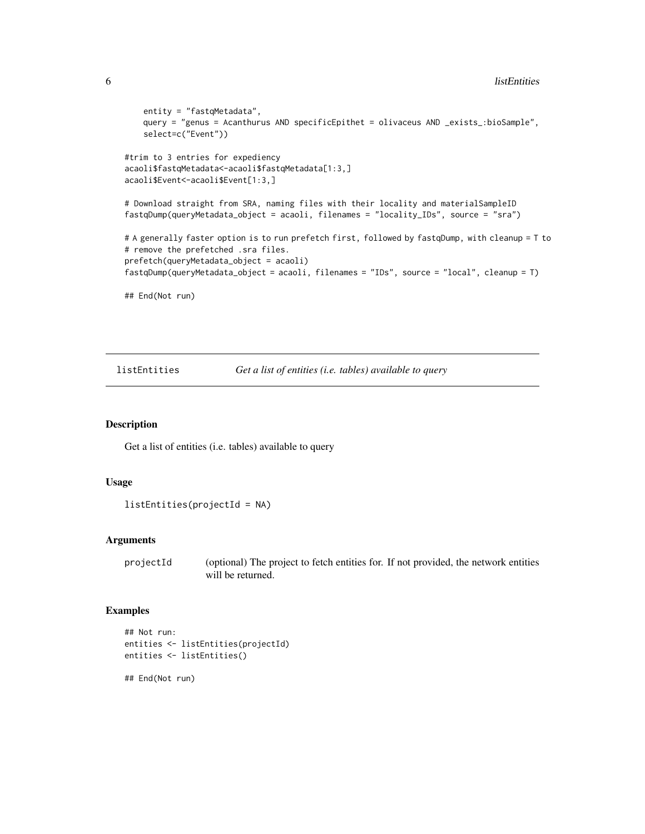```
entity = "fastqMetadata",
   query = "genus = Acanthurus AND specificEpithet = olivaceus AND _exists_:bioSample",
   select=c("Event"))
#trim to 3 entries for expediency
acaoli$fastqMetadata<-acaoli$fastqMetadata[1:3,]
acaoli$Event<-acaoli$Event[1:3,]
# Download straight from SRA, naming files with their locality and materialSampleID
fastqDump(queryMetadata_object = acaoli, filenames = "locality_IDs", source = "sra")
# A generally faster option is to run prefetch first, followed by fastqDump, with cleanup = T to
# remove the prefetched .sra files.
prefetch(queryMetadata_object = acaoli)
fastqDump(queryMetadata_object = acaoli, filenames = "IDs", source = "local", cleanup = T)
## End(Not run)
```
listEntities *Get a list of entities (i.e. tables) available to query*

## Description

Get a list of entities (i.e. tables) available to query

#### Usage

```
listEntities(projectId = NA)
```
## Arguments

projectId (optional) The project to fetch entities for. If not provided, the network entities will be returned.

```
## Not run:
entities <- listEntities(projectId)
entities <- listEntities()
## End(Not run)
```
<span id="page-5-0"></span>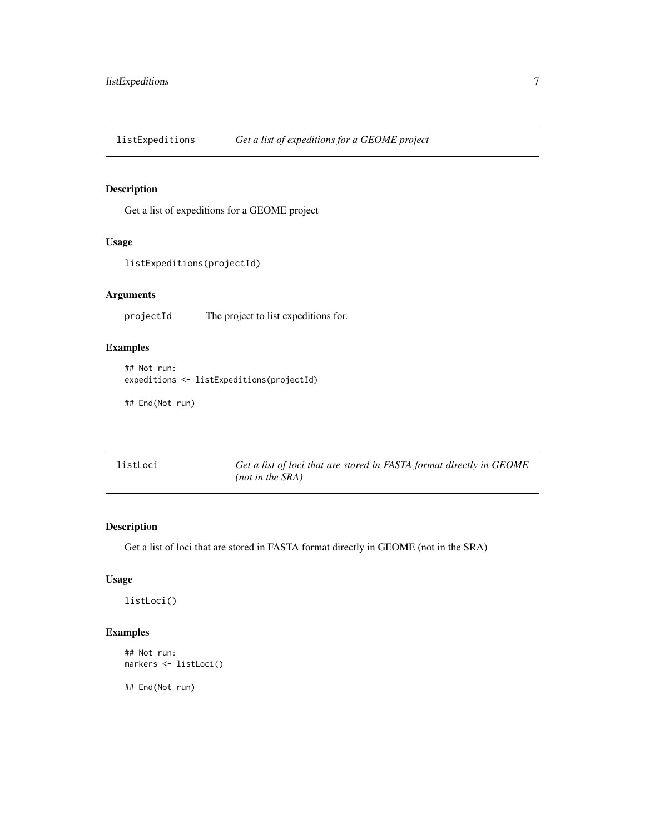<span id="page-6-0"></span>listExpeditions *Get a list of expeditions for a GEOME project*

## Description

Get a list of expeditions for a GEOME project

## Usage

listExpeditions(projectId)

## Arguments

projectId The project to list expeditions for.

## Examples

## Not run: expeditions <- listExpeditions(projectId)

## End(Not run)

| listLoci | Get a list of loci that are stored in FASTA format directly in GEOME |
|----------|----------------------------------------------------------------------|
|          | $(not \text{ in the SRA})$                                           |

## Description

Get a list of loci that are stored in FASTA format directly in GEOME (not in the SRA)

## Usage

listLoci()

## Examples

```
## Not run:
markers <- listLoci()
```
## End(Not run)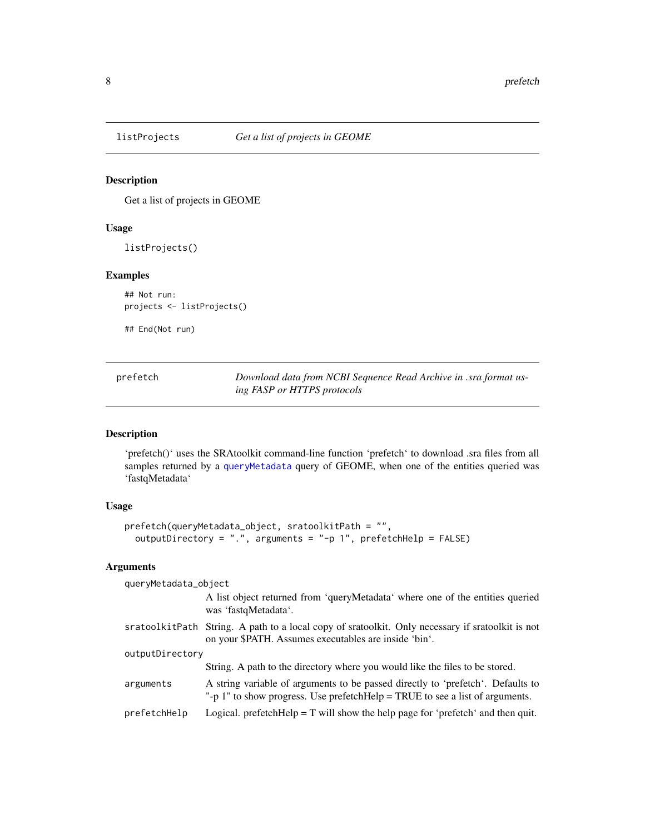<span id="page-7-0"></span>

## Description

Get a list of projects in GEOME

## Usage

listProjects()

## Examples

## Not run: projects <- listProjects()

## End(Not run)

<span id="page-7-1"></span>prefetch *Download data from NCBI Sequence Read Archive in .sra format using FASP or HTTPS protocols*

## Description

'prefetch()' uses the SRAtoolkit command-line function 'prefetch' to download .sra files from all samples returned by a [queryMetadata](#page-9-1) query of GEOME, when one of the entities queried was 'fastqMetadata'

## Usage

```
prefetch(queryMetadata_object, sratoolkitPath = "",
 outputDirectory = ".", arguments = "-p 1", prefetchHelp = FALSE)
```
## Arguments

| queryMetadata_object |                                                                                                                                                                 |
|----------------------|-----------------------------------------------------------------------------------------------------------------------------------------------------------------|
|                      | A list object returned from 'queryMetadata' where one of the entities queried<br>was 'fastqMetadata'.                                                           |
|                      | sratoolkitPath String. A path to a local copy of sratoolkit. Only necessary if sratoolkit is not<br>on your \$PATH. Assumes executables are inside 'bin'.       |
| outputDirectory      |                                                                                                                                                                 |
|                      | String. A path to the directory where you would like the files to be stored.                                                                                    |
| arguments            | A string variable of arguments to be passed directly to 'prefetch'. Defaults to<br>"-p 1" to show progress. Use prefetchHelp = TRUE to see a list of arguments. |
| prefetchHelp         | Logical. prefetchHelp = $T$ will show the help page for 'prefetch' and then quit.                                                                               |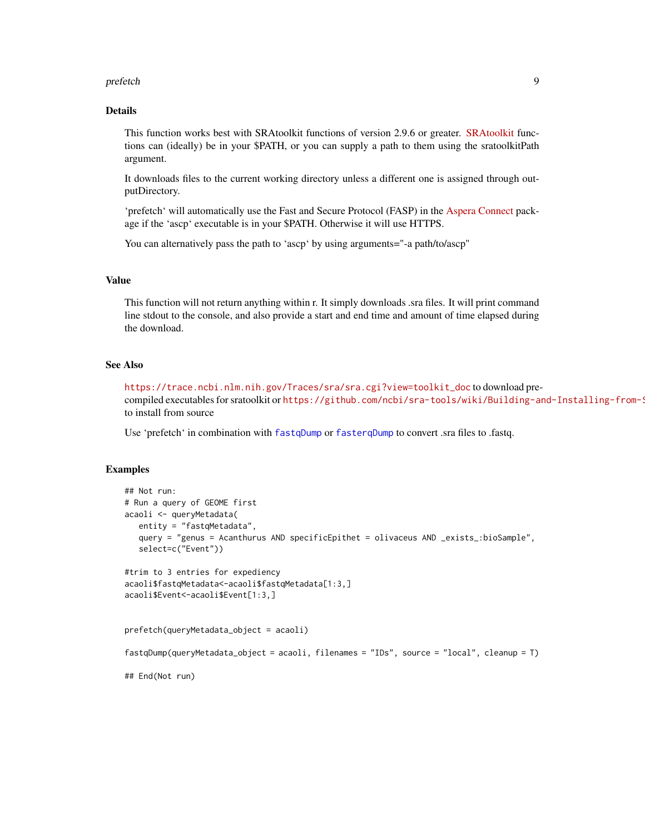#### <span id="page-8-0"></span>prefetch 9

## Details

This function works best with SRAtoolkit functions of version 2.9.6 or greater. [SRAtoolkit](https://trace.ncbi.nlm.nih.gov/Traces/sra/sra.cgi?view=toolkit_doc) functions can (ideally) be in your \$PATH, or you can supply a path to them using the sratoolkitPath argument.

It downloads files to the current working directory unless a different one is assigned through outputDirectory.

'prefetch' will automatically use the Fast and Secure Protocol (FASP) in the [Aspera Connect](https://downloads.asperasoft.com/connect2/) package if the 'ascp' executable is in your \$PATH. Otherwise it will use HTTPS.

You can alternatively pass the path to 'ascp' by using arguments="-a path/to/ascp"

## Value

This function will not return anything within r. It simply downloads .sra files. It will print command line stdout to the console, and also provide a start and end time and amount of time elapsed during the download.

## See Also

[https://trace.ncbi.nlm.nih.gov/Traces/sra/sra.cgi?view=toolkit\\_doc](https://trace.ncbi.nlm.nih.gov/Traces/sra/sra.cgi?view=toolkit_doc) to download precompiled executables for sratoolkit or https://github.com/ncbi/sra-tools/wiki/Building-and-Installing-from-S to install from source

Use 'prefetch' in combination with [fastqDump](#page-3-1) or [fasterqDump](#page-1-1) to convert .sra files to .fastq.

```
## Not run:
# Run a query of GEOME first
acaoli <- queryMetadata(
  entity = "fastqMetadata",
  query = "genus = Acanthurus AND specificEpithet = olivaceus AND _exists_:bioSample",
  select=c("Event"))
#trim to 3 entries for expediency
acaoli$fastqMetadata<-acaoli$fastqMetadata[1:3,]
acaoli$Event<-acaoli$Event[1:3,]
prefetch(queryMetadata_object = acaoli)
fastqDump(queryMetadata_object = acaoli, filenames = "IDs", source = "local", cleanup = T)
## End(Not run)
```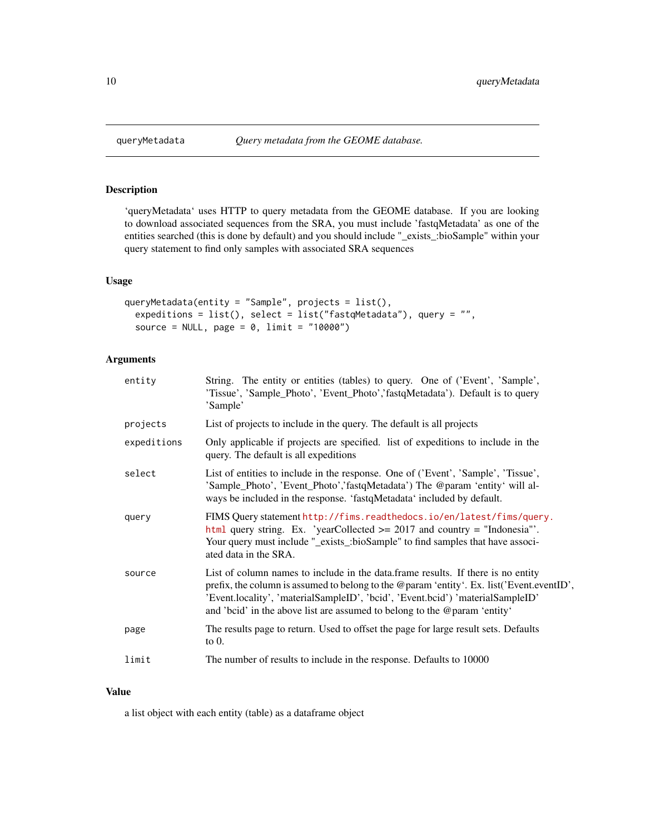## Description

'queryMetadata' uses HTTP to query metadata from the GEOME database. If you are looking to download associated sequences from the SRA, you must include 'fastqMetadata' as one of the entities searched (this is done by default) and you should include "\_exists\_:bioSample" within your query statement to find only samples with associated SRA sequences

## Usage

```
queryMetadata(entity = "Sample", projects = list(),
 expeditions = list(), select = list("fastqMetadata"), query = "",
 source = NULL, page = 0, limit = "10000")
```
## Arguments

| entity      | String. The entity or entities (tables) to query. One of ('Event', 'Sample',<br>'Tissue', 'Sample_Photo', 'Event_Photo','fastqMetadata'). Default is to query<br>'Sample'                                                                                                                                                                     |
|-------------|-----------------------------------------------------------------------------------------------------------------------------------------------------------------------------------------------------------------------------------------------------------------------------------------------------------------------------------------------|
| projects    | List of projects to include in the query. The default is all projects                                                                                                                                                                                                                                                                         |
| expeditions | Only applicable if projects are specified. list of expeditions to include in the<br>query. The default is all expeditions                                                                                                                                                                                                                     |
| select      | List of entities to include in the response. One of ('Event', 'Sample', 'Tissue',<br>'Sample_Photo', 'Event_Photo','fastqMetadata') The @param 'entity' will al-<br>ways be included in the response. 'fastqMetadata' included by default.                                                                                                    |
| query       | FIMS Query statement http://fims.readthedocs.io/en/latest/fims/query.<br>html query string. Ex. 'yearCollected $\ge$ 2017 and country = "Indonesia".<br>Your query must include "_exists_:bioSample" to find samples that have associ-<br>ated data in the SRA.                                                                               |
| source      | List of column names to include in the data. frame results. If there is no entity<br>prefix, the column is assumed to belong to the @param 'entity'. Ex. list('Event.eventID',<br>'Event.locality', 'materialSampleID', 'bcid', 'Event.bcid') 'materialSampleID'<br>and 'bcid' in the above list are assumed to belong to the @param 'entity' |
| page        | The results page to return. Used to offset the page for large result sets. Defaults<br>to $0$ .                                                                                                                                                                                                                                               |
| limit       | The number of results to include in the response. Defaults to 10000                                                                                                                                                                                                                                                                           |
|             |                                                                                                                                                                                                                                                                                                                                               |

#### Value

a list object with each entity (table) as a dataframe object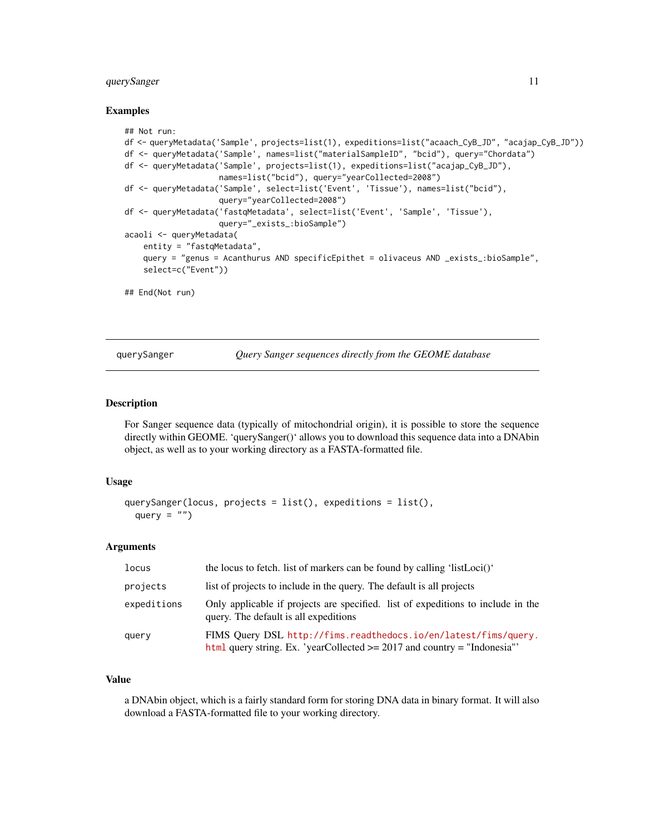## <span id="page-10-0"></span>querySanger 11

## Examples

```
## Not run:
df <- queryMetadata('Sample', projects=list(1), expeditions=list("acaach_CyB_JD", "acajap_CyB_JD"))
df <- queryMetadata('Sample', names=list("materialSampleID", "bcid"), query="Chordata")
df <- queryMetadata('Sample', projects=list(1), expeditions=list("acajap_CyB_JD"),
                    names=list("bcid"), query="yearCollected=2008")
df <- queryMetadata('Sample', select=list('Event', 'Tissue'), names=list("bcid"),
                    query="yearCollected=2008")
df <- queryMetadata('fastqMetadata', select=list('Event', 'Sample', 'Tissue'),
                    query="_exists_:bioSample")
acaoli <- queryMetadata(
    entity = "fastqMetadata",
    query = "genus = Acanthurus AND specificEpithet = olivaceus AND _exists_:bioSample",
    select=c("Event"))
## End(Not run)
```
querySanger *Query Sanger sequences directly from the GEOME database*

## Description

For Sanger sequence data (typically of mitochondrial origin), it is possible to store the sequence directly within GEOME. 'querySanger()' allows you to download this sequence data into a DNAbin object, as well as to your working directory as a FASTA-formatted file.

## Usage

```
querySanger(locus, projects = list(), expeditions = list(),
 query = ")
```
## Arguments

| locus       | the locus to fetch. list of markers can be found by calling 'listLoci()'                                                                          |
|-------------|---------------------------------------------------------------------------------------------------------------------------------------------------|
| projects    | list of projects to include in the query. The default is all projects                                                                             |
| expeditions | Only applicable if projects are specified. list of expeditions to include in the<br>query. The default is all expeditions                         |
| query       | FIMS Query DSL http://fims.readthedocs.io/en/latest/fims/query.<br>$html$ query string. Ex. 'yearCollected $\geq$ 2017 and country = "Indonesia"' |

## Value

a DNAbin object, which is a fairly standard form for storing DNA data in binary format. It will also download a FASTA-formatted file to your working directory.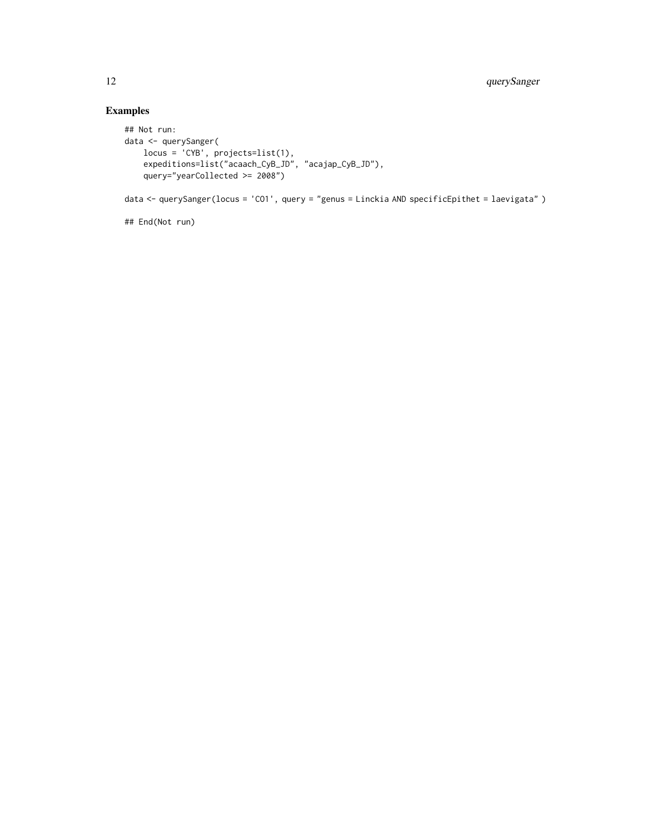```
## Not run:
data <- querySanger(
   locus = 'CYB', projects=list(1),
    expeditions=list("acaach_CyB_JD", "acajap_CyB_JD"),
    query="yearCollected >= 2008")
data <- querySanger(locus = 'CO1', query = "genus = Linckia AND specificEpithet = laevigata" )
```

```
## End(Not run)
```